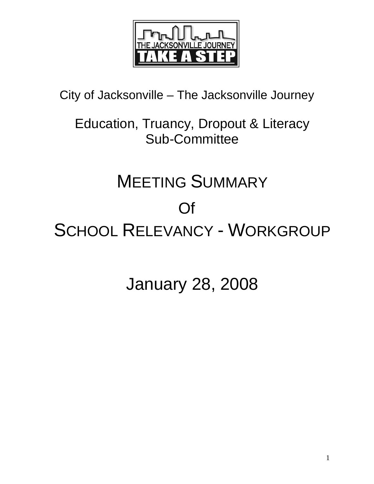

City of Jacksonville – The Jacksonville Journey

Education, Truancy, Dropout & Literacy Sub-Committee

# MEETING SUMMARY

# Of

SCHOOL RELEVANCY - WORKGROUP

January 28, 2008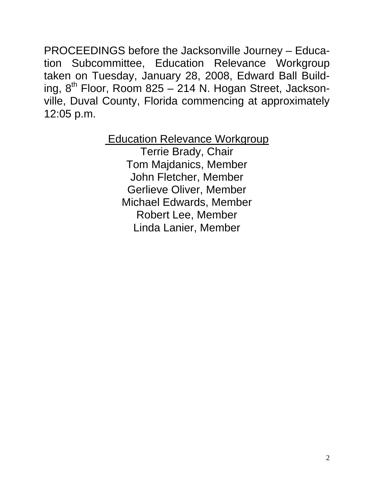PROCEEDINGS before the Jacksonville Journey – Education Subcommittee, Education Relevance Workgroup taken on Tuesday, January 28, 2008, Edward Ball Building,  $8<sup>th</sup>$  Floor, Room 825 – 214 N. Hogan Street, Jacksonville, Duval County, Florida commencing at approximately 12:05 p.m.

> **Education Relevance Workgroup** Terrie Brady, Chair Tom Majdanics, Member John Fletcher, Member Gerlieve Oliver, Member Michael Edwards, Member Robert Lee, Member Linda Lanier, Member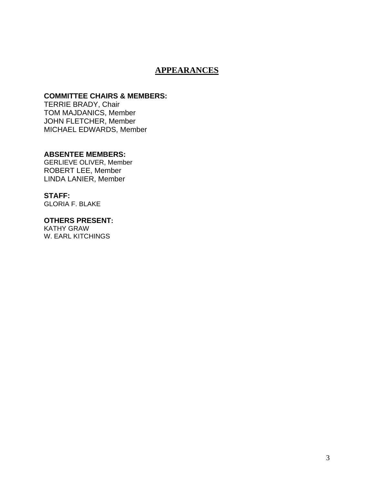# **APPEARANCES**

## **COMMITTEE CHAIRS & MEMBERS:**

TERRIE BRADY, Chair TOM MAJDANICS, Member JOHN FLETCHER, Member MICHAEL EDWARDS, Member

#### **ABSENTEE MEMBERS:**

GERLIEVE OLIVER, Member ROBERT LEE, Member LINDA LANIER, Member

# **STAFF:**

GLORIA F. BLAKE

#### **OTHERS PRESENT:**

KATHY GRAW W. EARL KITCHINGS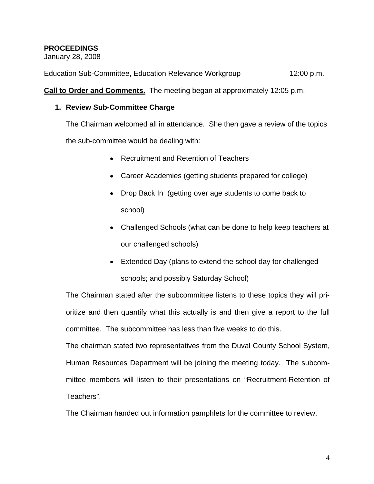## **PROCEEDINGS**

January 28, 2008

Education Sub-Committee, Education Relevance Workgroup 12:00 p.m.

**Call to Order and Comments.** The meeting began at approximately 12:05 p.m.

## **1. Review Sub-Committee Charge**

The Chairman welcomed all in attendance. She then gave a review of the topics

the sub-committee would be dealing with:

- Recruitment and Retention of Teachers
- Career Academies (getting students prepared for college)
- Drop Back In (getting over age students to come back to school)
- Challenged Schools (what can be done to help keep teachers at our challenged schools)
- Extended Day (plans to extend the school day for challenged schools; and possibly Saturday School)

The Chairman stated after the subcommittee listens to these topics they will prioritize and then quantify what this actually is and then give a report to the full committee. The subcommittee has less than five weeks to do this.

The chairman stated two representatives from the Duval County School System, Human Resources Department will be joining the meeting today. The subcommittee members will listen to their presentations on "Recruitment-Retention of Teachers".

The Chairman handed out information pamphlets for the committee to review.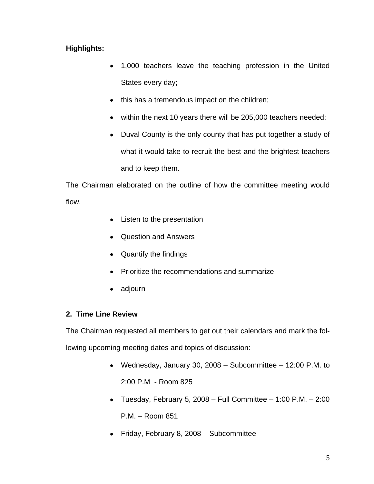# **Highlights:**

- 1,000 teachers leave the teaching profession in the United States every day;
- this has a tremendous impact on the children;
- within the next 10 years there will be 205,000 teachers needed;
- Duval County is the only county that has put together a study of what it would take to recruit the best and the brightest teachers and to keep them.

The Chairman elaborated on the outline of how the committee meeting would flow.

- Listen to the presentation
- Question and Answers
- Quantify the findings
- Prioritize the recommendations and summarize
- adjourn

## **2. Time Line Review**

The Chairman requested all members to get out their calendars and mark the following upcoming meeting dates and topics of discussion:

- Wednesday, January 30, 2008 Subcommittee 12:00 P.M. to 2:00 P.M - Room 825
- Tuesday, February 5, 2008 Full Committee 1:00 P.M. 2:00 P.M. – Room 851
- Friday, February 8, 2008 Subcommittee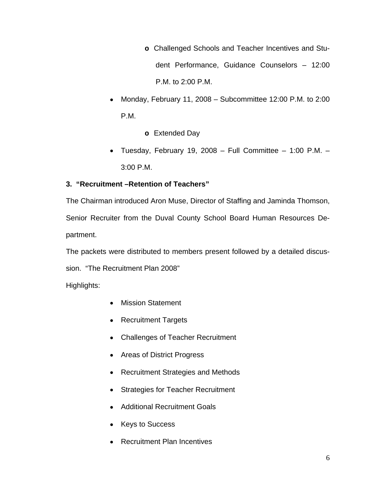- **o** Challenged Schools and Teacher Incentives and Student Performance, Guidance Counselors – 12:00 P.M. to 2:00 P.M.
- Monday, February 11, 2008 Subcommittee 12:00 P.M. to 2:00 P.M.
	- **o** Extended Day
- Tuesday, February 19, 2008 Full Committee 1:00 P.M. 3:00 P.M.

# **3. "Recruitment –Retention of Teachers"**

 The Chairman introduced Aron Muse, Director of Staffing and Jaminda Thomson, Senior Recruiter from the Duval County School Board Human Resources Department.

The packets were distributed to members present followed by a detailed discus-

sion. "The Recruitment Plan 2008"

Highlights:

- Mission Statement
- Recruitment Targets
- Challenges of Teacher Recruitment
- Areas of District Progress
- Recruitment Strategies and Methods
- Strategies for Teacher Recruitment
- Additional Recruitment Goals
- Keys to Success
- Recruitment Plan Incentives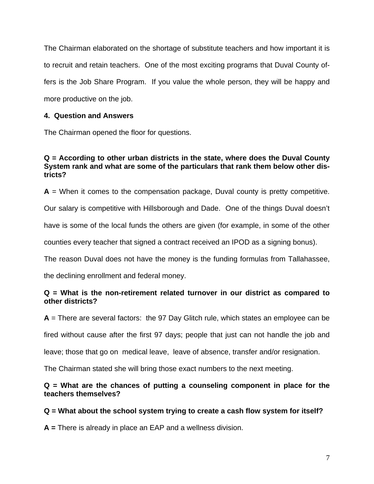The Chairman elaborated on the shortage of substitute teachers and how important it is to recruit and retain teachers. One of the most exciting programs that Duval County offers is the Job Share Program. If you value the whole person, they will be happy and more productive on the job.

## **4. Question and Answers**

The Chairman opened the floor for questions.

## **Q = According to other urban districts in the state, where does the Duval County System rank and what are some of the particulars that rank them below other districts?**

 $A =$  When it comes to the compensation package, Duval county is pretty competitive.

Our salary is competitive with Hillsborough and Dade. One of the things Duval doesn't

have is some of the local funds the others are given (for example, in some of the other

counties every teacher that signed a contract received an IPOD as a signing bonus).

The reason Duval does not have the money is the funding formulas from Tallahassee,

the declining enrollment and federal money.

## **Q = What is the non-retirement related turnover in our district as compared to other districts?**

**A** = There are several factors: the 97 Day Glitch rule, which states an employee can be

fired without cause after the first 97 days; people that just can not handle the job and

leave; those that go on medical leave, leave of absence, transfer and/or resignation.

The Chairman stated she will bring those exact numbers to the next meeting.

## **Q = What are the chances of putting a counseling component in place for the teachers themselves?**

## **Q = What about the school system trying to create a cash flow system for itself?**

**A =** There is already in place an EAP and a wellness division.